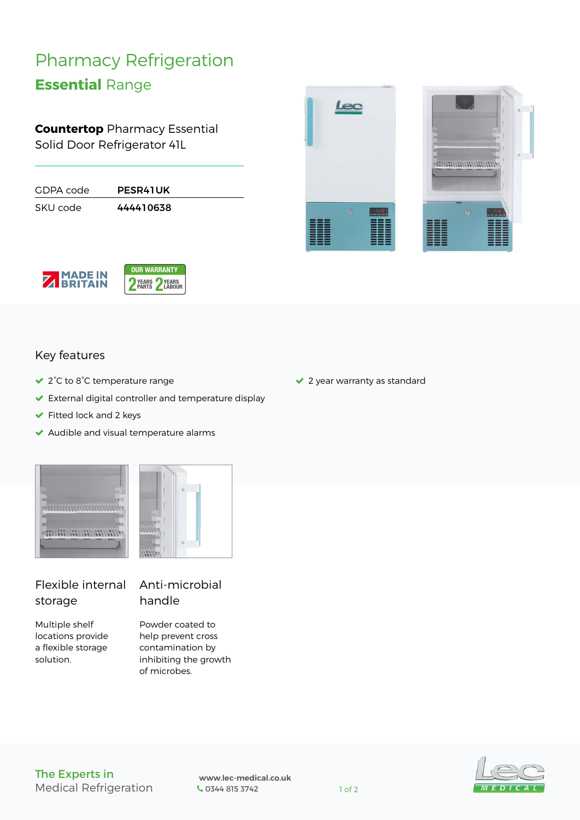# Pharmacy Refrigeration

## **Essential** Range

**Countertop** Pharmacy Essential Solid Door Refrigerator 41L

| GDPA code | <b>PESR41UK</b> |  |
|-----------|-----------------|--|
| SKU code  | 444410638       |  |







#### Key features

- 2°C to 8°C temperature range
- External digital controller and temperature display
- $\blacktriangleright$  Fitted lock and 2 keys
- $\blacktriangleright$  Audible and visual temperature alarms





#### Flexible internal storage

Multiple shelf locations provide a flexible storage solution.

### Anti-microbial handle

Powder coated to help prevent cross contamination by inhibiting the growth of microbes.

◆ 2 year warranty as standard